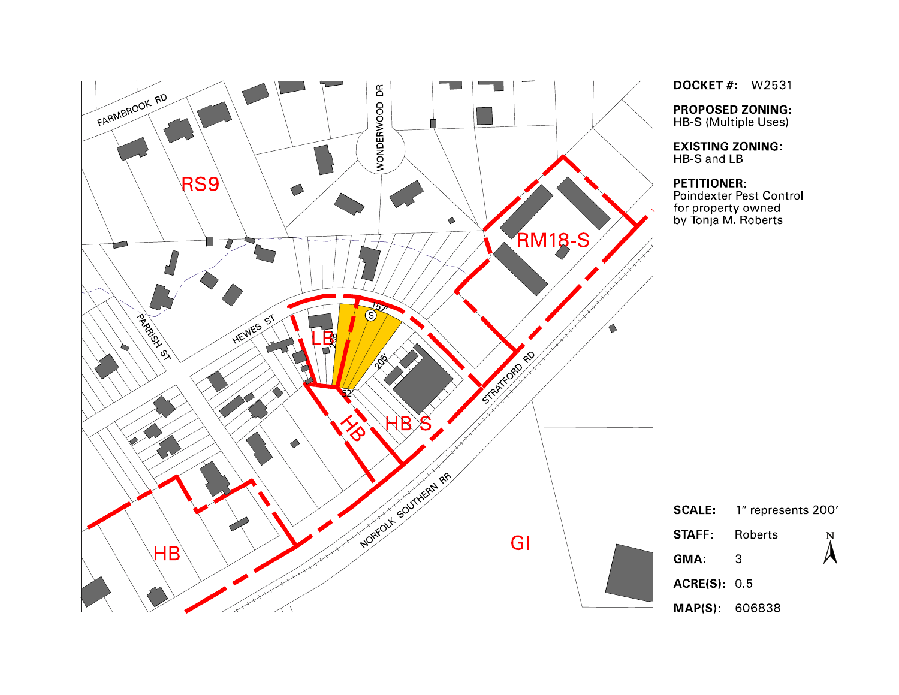

**DOCKET #: W2531** 

**PROPOSED ZONING:** HB-S (Multiple Uses)

**EXISTING ZONING:** HB-S and LB

#### **PETITIONER:**

Poindexter Pest Control for property owned<br>by Tonja M. Roberts

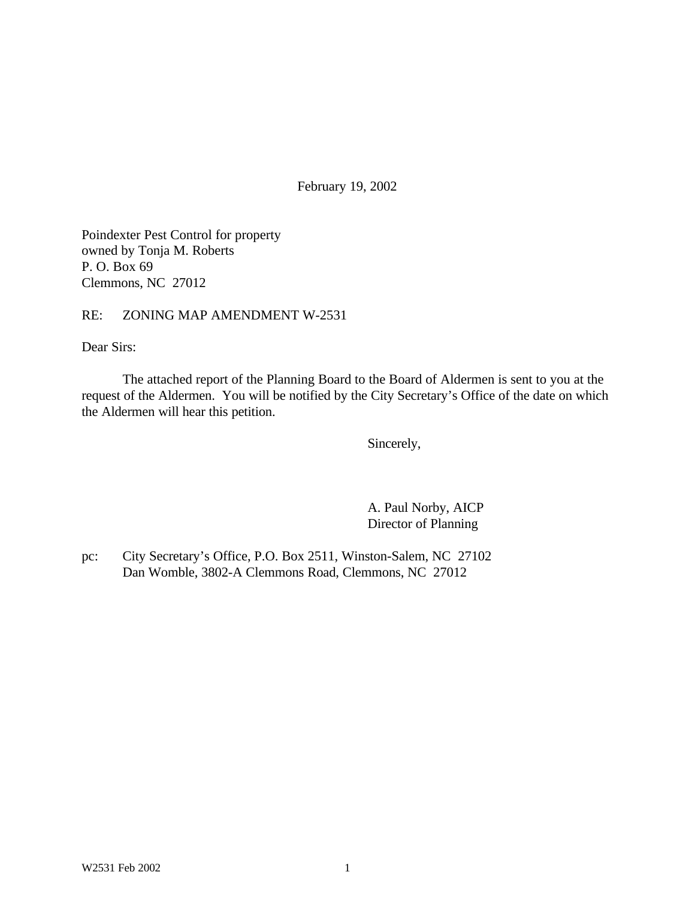February 19, 2002

Poindexter Pest Control for property owned by Tonja M. Roberts P. O. Box 69 Clemmons, NC 27012

RE: ZONING MAP AMENDMENT W-2531

Dear Sirs:

The attached report of the Planning Board to the Board of Aldermen is sent to you at the request of the Aldermen. You will be notified by the City Secretary's Office of the date on which the Aldermen will hear this petition.

Sincerely,

A. Paul Norby, AICP Director of Planning

pc: City Secretary's Office, P.O. Box 2511, Winston-Salem, NC 27102 Dan Womble, 3802-A Clemmons Road, Clemmons, NC 27012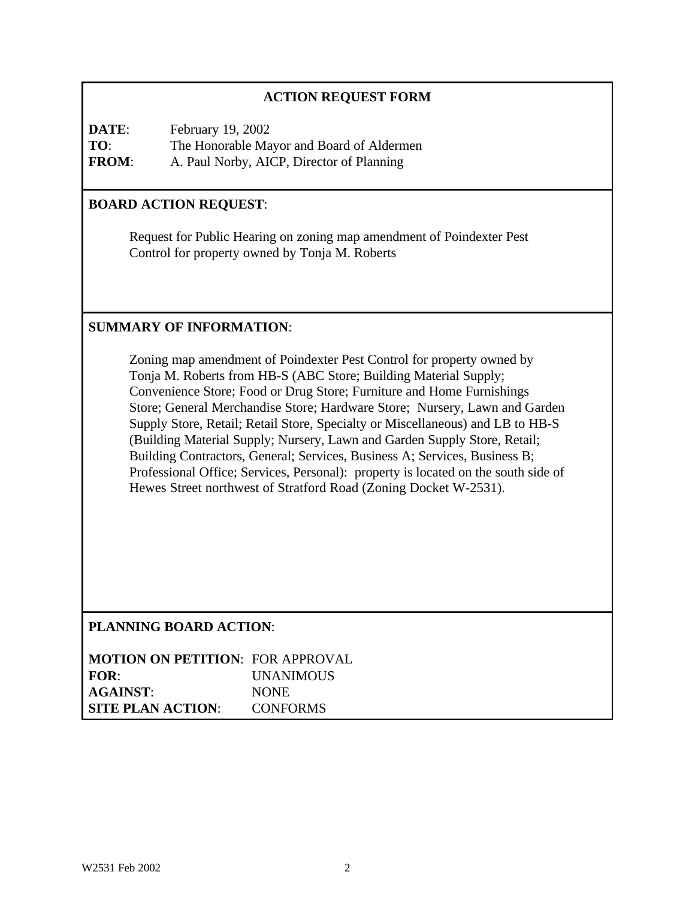# **ACTION REQUEST FORM**

**DATE**: February 19, 2002 **TO**: The Honorable Mayor and Board of Aldermen **FROM**: A. Paul Norby, AICP, Director of Planning

## **BOARD ACTION REQUEST**:

Request for Public Hearing on zoning map amendment of Poindexter Pest Control for property owned by Tonja M. Roberts

## **SUMMARY OF INFORMATION**:

Zoning map amendment of Poindexter Pest Control for property owned by Tonja M. Roberts from HB-S (ABC Store; Building Material Supply; Convenience Store; Food or Drug Store; Furniture and Home Furnishings Store; General Merchandise Store; Hardware Store; Nursery, Lawn and Garden Supply Store, Retail; Retail Store, Specialty or Miscellaneous) and LB to HB-S (Building Material Supply; Nursery, Lawn and Garden Supply Store, Retail; Building Contractors, General; Services, Business A; Services, Business B; Professional Office; Services, Personal): property is located on the south side of Hewes Street northwest of Stratford Road (Zoning Docket W-2531).

**PLANNING BOARD ACTION**:

| <b>MOTION ON PETITION: FOR APPROVAL</b> |                  |
|-----------------------------------------|------------------|
| FOR:                                    | <b>UNANIMOUS</b> |
| <b>AGAINST:</b>                         | <b>NONE</b>      |
| <b>SITE PLAN ACTION:</b>                | <b>CONFORMS</b>  |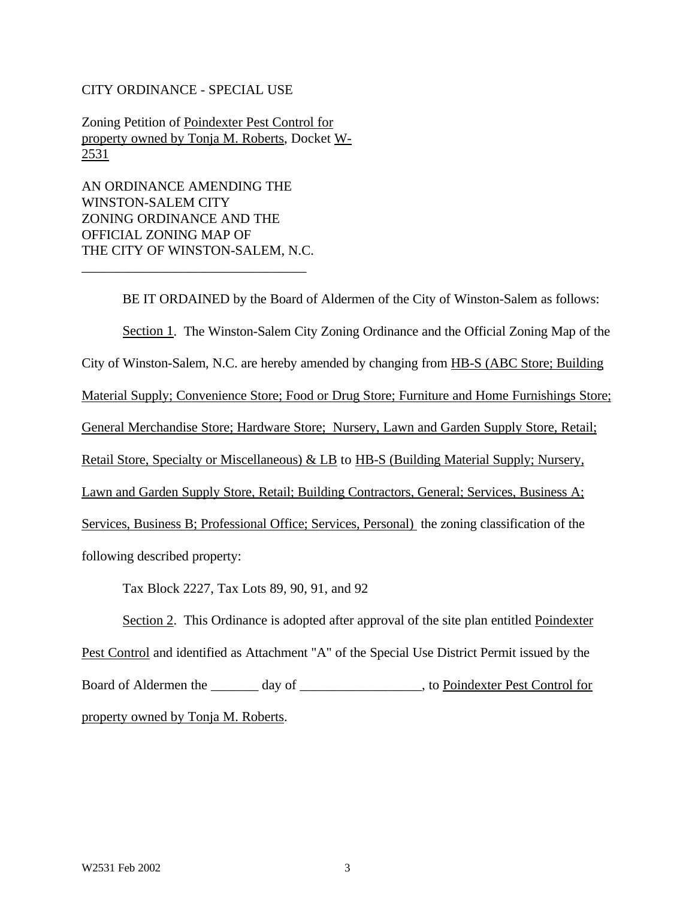#### CITY ORDINANCE - SPECIAL USE

Zoning Petition of Poindexter Pest Control for property owned by Tonja M. Roberts, Docket W-2531

AN ORDINANCE AMENDING THE WINSTON-SALEM CITY ZONING ORDINANCE AND THE OFFICIAL ZONING MAP OF THE CITY OF WINSTON-SALEM, N.C.

\_\_\_\_\_\_\_\_\_\_\_\_\_\_\_\_\_\_\_\_\_\_\_\_\_\_\_\_\_\_\_\_\_

BE IT ORDAINED by the Board of Aldermen of the City of Winston-Salem as follows: Section 1. The Winston-Salem City Zoning Ordinance and the Official Zoning Map of the City of Winston-Salem, N.C. are hereby amended by changing from HB-S (ABC Store; Building Material Supply; Convenience Store; Food or Drug Store; Furniture and Home Furnishings Store; General Merchandise Store; Hardware Store; Nursery, Lawn and Garden Supply Store, Retail; Retail Store, Specialty or Miscellaneous) & LB to HB-S (Building Material Supply; Nursery, Lawn and Garden Supply Store, Retail; Building Contractors, General; Services, Business A; Services, Business B; Professional Office; Services, Personal) the zoning classification of the following described property:

Tax Block 2227, Tax Lots 89, 90, 91, and 92

Section 2. This Ordinance is adopted after approval of the site plan entitled Poindexter Pest Control and identified as Attachment "A" of the Special Use District Permit issued by the Board of Aldermen the \_\_\_\_\_\_\_ day of \_\_\_\_\_\_\_\_\_\_\_\_\_\_\_\_, to Poindexter Pest Control for property owned by Tonja M. Roberts.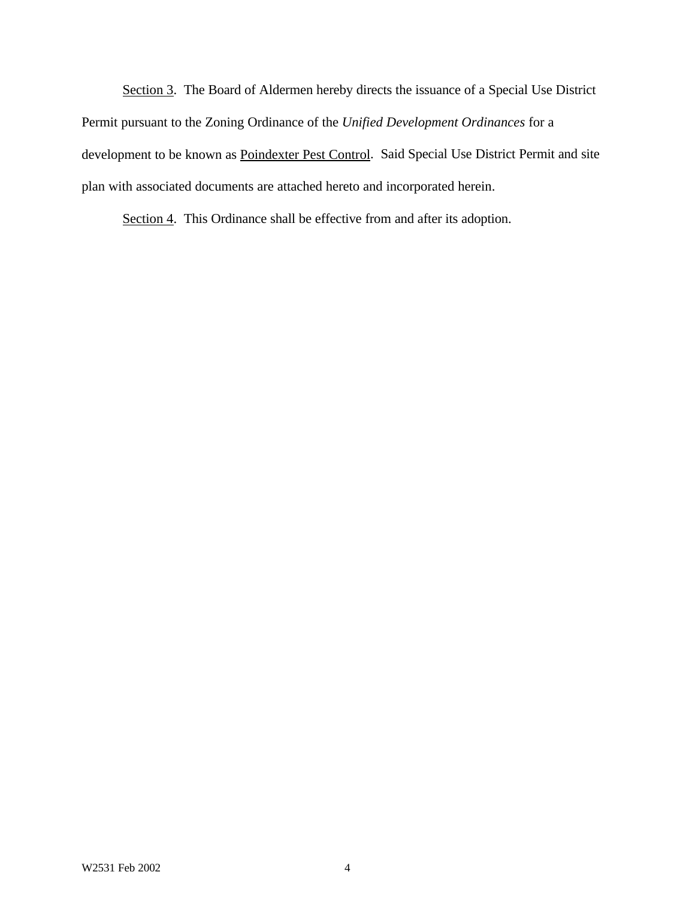Section 3. The Board of Aldermen hereby directs the issuance of a Special Use District Permit pursuant to the Zoning Ordinance of the *Unified Development Ordinances* for a development to be known as Poindexter Pest Control. Said Special Use District Permit and site plan with associated documents are attached hereto and incorporated herein.

Section 4. This Ordinance shall be effective from and after its adoption.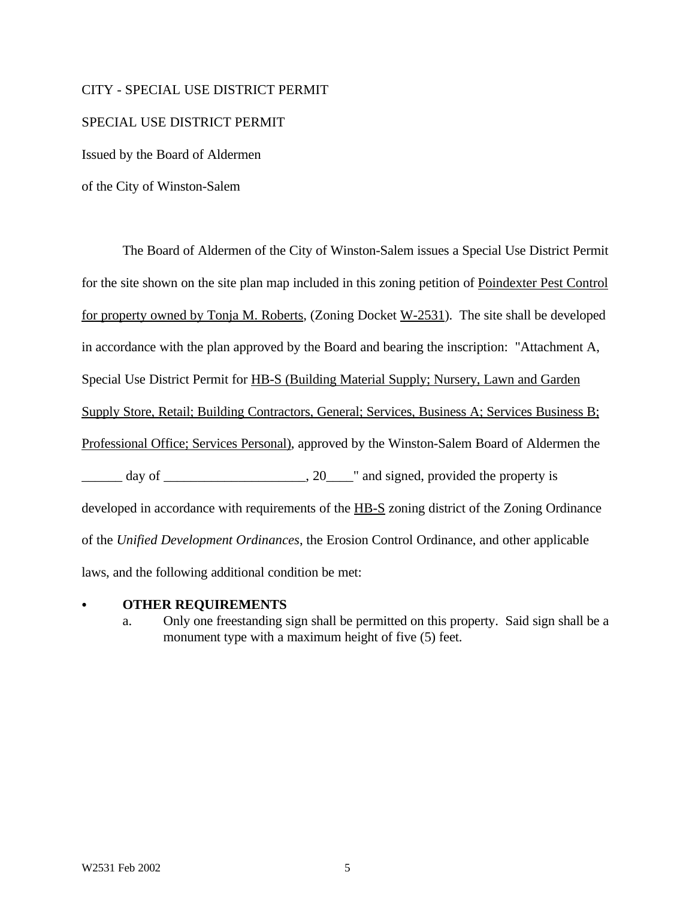#### CITY - SPECIAL USE DISTRICT PERMIT

#### SPECIAL USE DISTRICT PERMIT

Issued by the Board of Aldermen

of the City of Winston-Salem

The Board of Aldermen of the City of Winston-Salem issues a Special Use District Permit for the site shown on the site plan map included in this zoning petition of Poindexter Pest Control for property owned by Tonja M. Roberts, (Zoning Docket W-2531). The site shall be developed in accordance with the plan approved by the Board and bearing the inscription: "Attachment A, Special Use District Permit for HB-S (Building Material Supply; Nursery, Lawn and Garden Supply Store, Retail; Building Contractors, General; Services, Business A; Services Business B; Professional Office; Services Personal), approved by the Winston-Salem Board of Aldermen the day of  $\qquad \qquad .20 \qquad$  " and signed, provided the property is developed in accordance with requirements of the HB-S zoning district of the Zoning Ordinance of the *Unified Development Ordinances*, the Erosion Control Ordinance, and other applicable laws, and the following additional condition be met:

#### C **OTHER REQUIREMENTS**

a. Only one freestanding sign shall be permitted on this property. Said sign shall be a monument type with a maximum height of five (5) feet.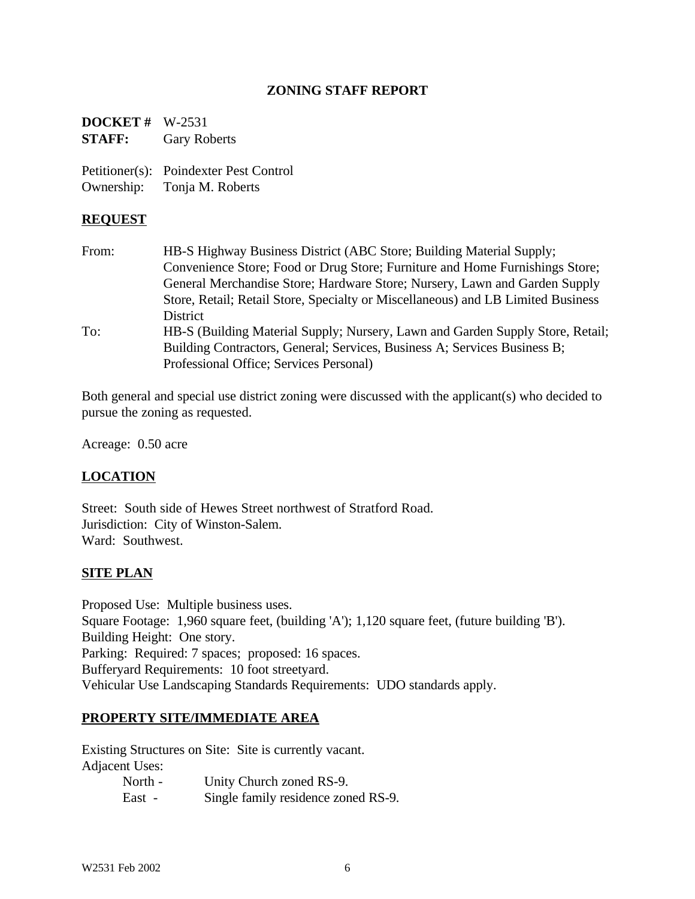### **ZONING STAFF REPORT**

**DOCKET #** W-2531 **STAFF:** Gary Roberts

Petitioner(s): Poindexter Pest Control Ownership: Tonja M. Roberts

### **REQUEST**

From: HB-S Highway Business District (ABC Store; Building Material Supply; Convenience Store; Food or Drug Store; Furniture and Home Furnishings Store; General Merchandise Store; Hardware Store; Nursery, Lawn and Garden Supply Store, Retail; Retail Store, Specialty or Miscellaneous) and LB Limited Business **District** To: HB-S (Building Material Supply; Nursery, Lawn and Garden Supply Store, Retail; Building Contractors, General; Services, Business A; Services Business B; Professional Office; Services Personal)

Both general and special use district zoning were discussed with the applicant(s) who decided to pursue the zoning as requested.

Acreage: 0.50 acre

## **LOCATION**

Street: South side of Hewes Street northwest of Stratford Road. Jurisdiction: City of Winston-Salem. Ward: Southwest.

### **SITE PLAN**

Proposed Use: Multiple business uses. Square Footage: 1,960 square feet, (building 'A'); 1,120 square feet, (future building 'B'). Building Height: One story. Parking: Required: 7 spaces; proposed: 16 spaces. Bufferyard Requirements: 10 foot streetyard. Vehicular Use Landscaping Standards Requirements: UDO standards apply.

### **PROPERTY SITE/IMMEDIATE AREA**

Existing Structures on Site: Site is currently vacant. Adjacent Uses:

| North - | Unity Church zoned RS-9.            |
|---------|-------------------------------------|
| East -  | Single family residence zoned RS-9. |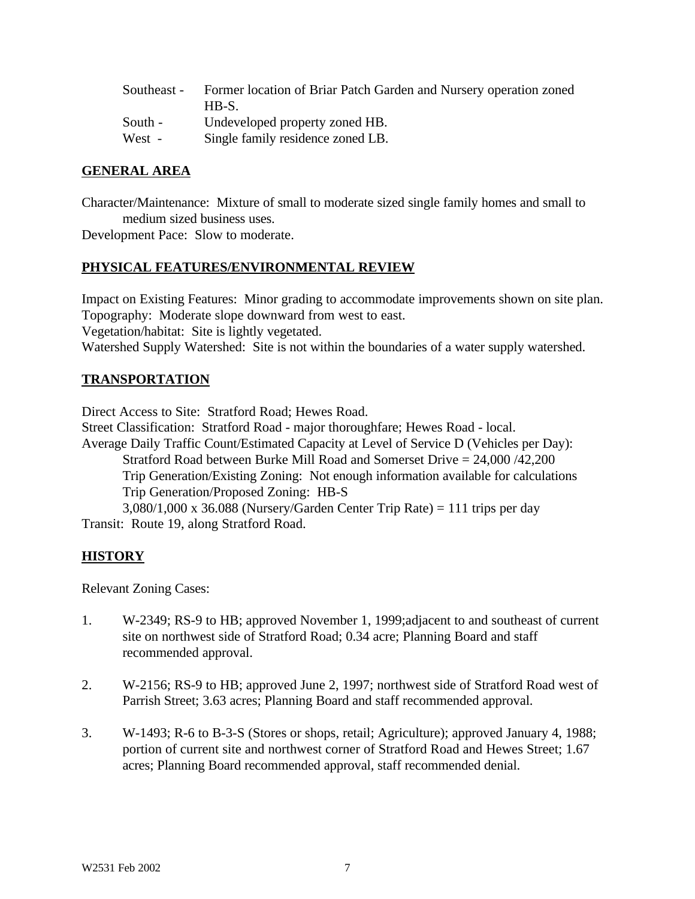| Southeast - | Former location of Briar Patch Garden and Nursery operation zoned |
|-------------|-------------------------------------------------------------------|
|             | HB-S.                                                             |
| South -     | Undeveloped property zoned HB.                                    |
| West -      | Single family residence zoned LB.                                 |

### **GENERAL AREA**

Character/Maintenance: Mixture of small to moderate sized single family homes and small to medium sized business uses.

Development Pace: Slow to moderate.

### **PHYSICAL FEATURES/ENVIRONMENTAL REVIEW**

Impact on Existing Features: Minor grading to accommodate improvements shown on site plan. Topography: Moderate slope downward from west to east. Vegetation/habitat: Site is lightly vegetated. Watershed Supply Watershed: Site is not within the boundaries of a water supply watershed.

### **TRANSPORTATION**

Direct Access to Site: Stratford Road; Hewes Road. Street Classification: Stratford Road - major thoroughfare; Hewes Road - local. Average Daily Traffic Count/Estimated Capacity at Level of Service D (Vehicles per Day): Stratford Road between Burke Mill Road and Somerset Drive = 24,000 /42,200 Trip Generation/Existing Zoning: Not enough information available for calculations Trip Generation/Proposed Zoning: HB-S  $3,080/1,000 \times 36.088$  (Nursery/Garden Center Trip Rate) = 111 trips per day Transit: Route 19, along Stratford Road.

## **HISTORY**

Relevant Zoning Cases:

- 1. W-2349; RS-9 to HB; approved November 1, 1999;adjacent to and southeast of current site on northwest side of Stratford Road; 0.34 acre; Planning Board and staff recommended approval.
- 2. W-2156; RS-9 to HB; approved June 2, 1997; northwest side of Stratford Road west of Parrish Street; 3.63 acres; Planning Board and staff recommended approval.
- 3. W-1493; R-6 to B-3-S (Stores or shops, retail; Agriculture); approved January 4, 1988; portion of current site and northwest corner of Stratford Road and Hewes Street; 1.67 acres; Planning Board recommended approval, staff recommended denial.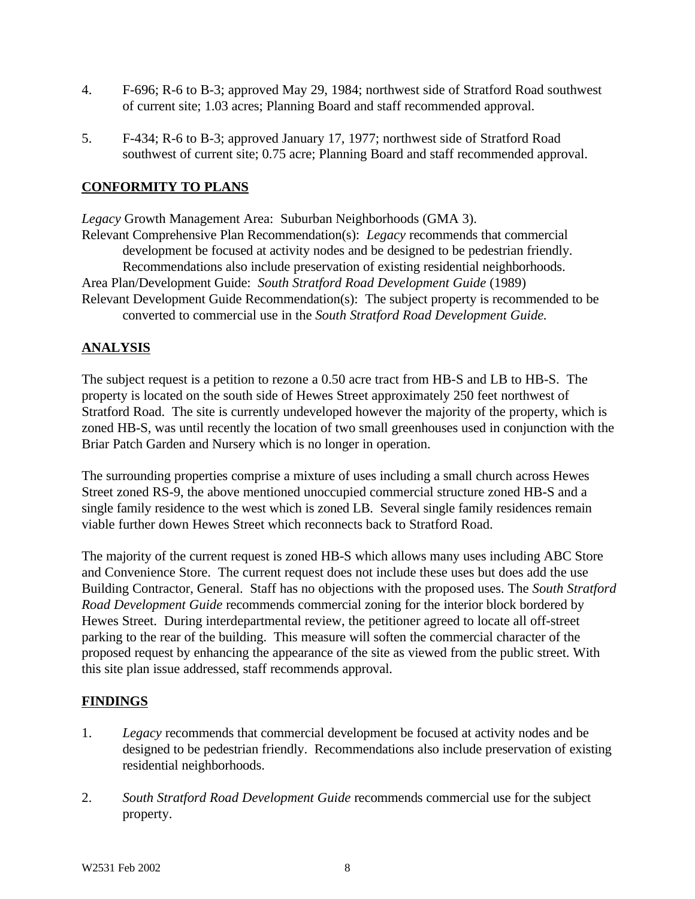- 4. F-696; R-6 to B-3; approved May 29, 1984; northwest side of Stratford Road southwest of current site; 1.03 acres; Planning Board and staff recommended approval.
- 5. F-434; R-6 to B-3; approved January 17, 1977; northwest side of Stratford Road southwest of current site; 0.75 acre; Planning Board and staff recommended approval.

## **CONFORMITY TO PLANS**

*Legacy* Growth Management Area: Suburban Neighborhoods (GMA 3). Relevant Comprehensive Plan Recommendation(s): *Legacy* recommends that commercial development be focused at activity nodes and be designed to be pedestrian friendly. Recommendations also include preservation of existing residential neighborhoods. Area Plan/Development Guide: *South Stratford Road Development Guide* (1989) Relevant Development Guide Recommendation(s): The subject property is recommended to be converted to commercial use in the *South Stratford Road Development Guide.*

## **ANALYSIS**

The subject request is a petition to rezone a 0.50 acre tract from HB-S and LB to HB-S. The property is located on the south side of Hewes Street approximately 250 feet northwest of Stratford Road. The site is currently undeveloped however the majority of the property, which is zoned HB-S, was until recently the location of two small greenhouses used in conjunction with the Briar Patch Garden and Nursery which is no longer in operation.

The surrounding properties comprise a mixture of uses including a small church across Hewes Street zoned RS-9, the above mentioned unoccupied commercial structure zoned HB-S and a single family residence to the west which is zoned LB. Several single family residences remain viable further down Hewes Street which reconnects back to Stratford Road.

The majority of the current request is zoned HB-S which allows many uses including ABC Store and Convenience Store. The current request does not include these uses but does add the use Building Contractor, General. Staff has no objections with the proposed uses. The *South Stratford Road Development Guide* recommends commercial zoning for the interior block bordered by Hewes Street. During interdepartmental review, the petitioner agreed to locate all off-street parking to the rear of the building. This measure will soften the commercial character of the proposed request by enhancing the appearance of the site as viewed from the public street. With this site plan issue addressed, staff recommends approval.

### **FINDINGS**

- 1. *Legacy* recommends that commercial development be focused at activity nodes and be designed to be pedestrian friendly. Recommendations also include preservation of existing residential neighborhoods.
- 2. *South Stratford Road Development Guide* recommends commercial use for the subject property.